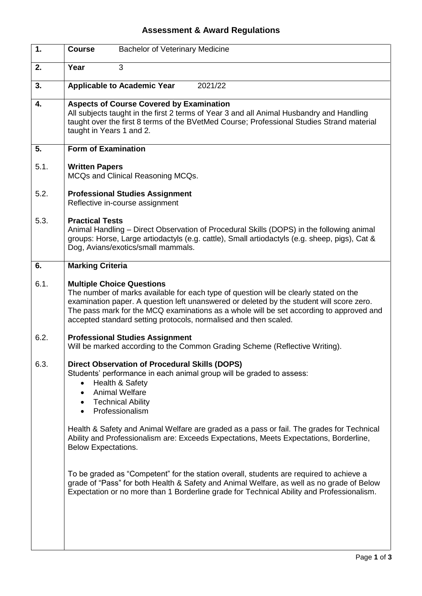## **Assessment & Award Regulations**

| $\overline{1}$ . | <b>Bachelor of Veterinary Medicine</b><br><b>Course</b>                                                                                                                                                                                                                                                                                                                                                                                                                                           |
|------------------|---------------------------------------------------------------------------------------------------------------------------------------------------------------------------------------------------------------------------------------------------------------------------------------------------------------------------------------------------------------------------------------------------------------------------------------------------------------------------------------------------|
| 2.               | Year<br>3                                                                                                                                                                                                                                                                                                                                                                                                                                                                                         |
| 3.               | <b>Applicable to Academic Year</b><br>2021/22                                                                                                                                                                                                                                                                                                                                                                                                                                                     |
| 4.               | <b>Aspects of Course Covered by Examination</b><br>All subjects taught in the first 2 terms of Year 3 and all Animal Husbandry and Handling<br>taught over the first 8 terms of the BVetMed Course; Professional Studies Strand material<br>taught in Years 1 and 2.                                                                                                                                                                                                                              |
| 5.               | <b>Form of Examination</b>                                                                                                                                                                                                                                                                                                                                                                                                                                                                        |
| 5.1.             | <b>Written Papers</b><br>MCQs and Clinical Reasoning MCQs.                                                                                                                                                                                                                                                                                                                                                                                                                                        |
| 5.2.             | <b>Professional Studies Assignment</b><br>Reflective in-course assignment                                                                                                                                                                                                                                                                                                                                                                                                                         |
| 5.3.             | <b>Practical Tests</b><br>Animal Handling – Direct Observation of Procedural Skills (DOPS) in the following animal<br>groups: Horse, Large artiodactyls (e.g. cattle), Small artiodactyls (e.g. sheep, pigs), Cat &<br>Dog, Avians/exotics/small mammals.                                                                                                                                                                                                                                         |
| 6.               | <b>Marking Criteria</b>                                                                                                                                                                                                                                                                                                                                                                                                                                                                           |
| 6.1.             | <b>Multiple Choice Questions</b><br>The number of marks available for each type of question will be clearly stated on the<br>examination paper. A question left unanswered or deleted by the student will score zero.<br>The pass mark for the MCQ examinations as a whole will be set according to approved and<br>accepted standard setting protocols, normalised and then scaled.                                                                                                              |
| 6.2.             | <b>Professional Studies Assignment</b><br>Will be marked according to the Common Grading Scheme (Reflective Writing).                                                                                                                                                                                                                                                                                                                                                                             |
| 6.3.             | <b>Direct Observation of Procedural Skills (DOPS)</b><br>Students' performance in each animal group will be graded to assess:<br>Health & Safety<br>$\bullet$<br><b>Animal Welfare</b><br>$\bullet$<br><b>Technical Ability</b><br>$\bullet$<br>Professionalism<br>$\bullet$<br>Health & Safety and Animal Welfare are graded as a pass or fail. The grades for Technical<br>Ability and Professionalism are: Exceeds Expectations, Meets Expectations, Borderline,<br><b>Below Expectations.</b> |
|                  | To be graded as "Competent" for the station overall, students are required to achieve a<br>grade of "Pass" for both Health & Safety and Animal Welfare, as well as no grade of Below<br>Expectation or no more than 1 Borderline grade for Technical Ability and Professionalism.                                                                                                                                                                                                                 |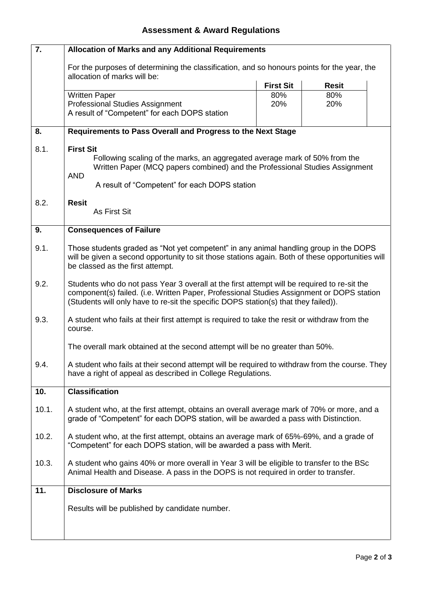## **Assessment & Award Regulations**

| $\overline{7}$ . | <b>Allocation of Marks and any Additional Requirements</b>                                                                                                                                                                                                                      |                  |              |  |  |
|------------------|---------------------------------------------------------------------------------------------------------------------------------------------------------------------------------------------------------------------------------------------------------------------------------|------------------|--------------|--|--|
|                  | For the purposes of determining the classification, and so honours points for the year, the<br>allocation of marks will be:                                                                                                                                                     |                  |              |  |  |
|                  |                                                                                                                                                                                                                                                                                 | <b>First Sit</b> | <b>Resit</b> |  |  |
|                  | <b>Written Paper</b>                                                                                                                                                                                                                                                            | 80%              | 80%          |  |  |
|                  | <b>Professional Studies Assignment</b>                                                                                                                                                                                                                                          | 20%              | 20%          |  |  |
|                  | A result of "Competent" for each DOPS station                                                                                                                                                                                                                                   |                  |              |  |  |
| 8.               | Requirements to Pass Overall and Progress to the Next Stage                                                                                                                                                                                                                     |                  |              |  |  |
| 8.1.             | <b>First Sit</b>                                                                                                                                                                                                                                                                |                  |              |  |  |
|                  | Following scaling of the marks, an aggregated average mark of 50% from the                                                                                                                                                                                                      |                  |              |  |  |
|                  | Written Paper (MCQ papers combined) and the Professional Studies Assignment<br><b>AND</b>                                                                                                                                                                                       |                  |              |  |  |
|                  | A result of "Competent" for each DOPS station                                                                                                                                                                                                                                   |                  |              |  |  |
| 8.2.             | <b>Resit</b>                                                                                                                                                                                                                                                                    |                  |              |  |  |
|                  | <b>As First Sit</b>                                                                                                                                                                                                                                                             |                  |              |  |  |
| 9.               | <b>Consequences of Failure</b>                                                                                                                                                                                                                                                  |                  |              |  |  |
| 9.1.             | Those students graded as "Not yet competent" in any animal handling group in the DOPS<br>will be given a second opportunity to sit those stations again. Both of these opportunities will<br>be classed as the first attempt.                                                   |                  |              |  |  |
| 9.2.             | Students who do not pass Year 3 overall at the first attempt will be required to re-sit the<br>component(s) failed. (i.e. Written Paper, Professional Studies Assignment or DOPS station<br>(Students will only have to re-sit the specific DOPS station(s) that they failed)). |                  |              |  |  |
| 9.3.             | A student who fails at their first attempt is required to take the resit or withdraw from the<br>course.                                                                                                                                                                        |                  |              |  |  |
|                  | The overall mark obtained at the second attempt will be no greater than 50%.                                                                                                                                                                                                    |                  |              |  |  |
| 9.4.             | A student who fails at their second attempt will be required to withdraw from the course. They<br>have a right of appeal as described in College Regulations.                                                                                                                   |                  |              |  |  |
| 10.              | <b>Classification</b>                                                                                                                                                                                                                                                           |                  |              |  |  |
| 10.1.            | A student who, at the first attempt, obtains an overall average mark of 70% or more, and a<br>grade of "Competent" for each DOPS station, will be awarded a pass with Distinction.                                                                                              |                  |              |  |  |
| 10.2.            | A student who, at the first attempt, obtains an average mark of 65%-69%, and a grade of<br>"Competent" for each DOPS station, will be awarded a pass with Merit.                                                                                                                |                  |              |  |  |
| 10.3.            | A student who gains 40% or more overall in Year 3 will be eligible to transfer to the BSc<br>Animal Health and Disease. A pass in the DOPS is not required in order to transfer.                                                                                                |                  |              |  |  |
| 11.              | <b>Disclosure of Marks</b>                                                                                                                                                                                                                                                      |                  |              |  |  |
|                  | Results will be published by candidate number.                                                                                                                                                                                                                                  |                  |              |  |  |
|                  |                                                                                                                                                                                                                                                                                 |                  |              |  |  |